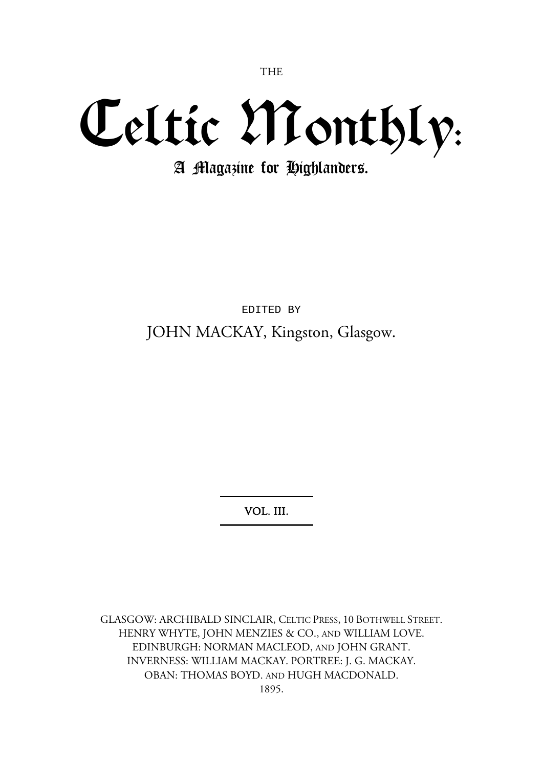THE

## Celtic Monthly:

A Magazine for Highlanders.

EDITED BY JOHN MACKAY, Kingston, Glasgow.

VOL. III.

GLASGOW: ARCHIBALD SINCLAIR, CELTIC PRESS, 10 BOTHWELL STREET. HENRY WHYTE, JOHN MENZIES & CO., AND WILLIAM LOVE. EDINBURGH: NORMAN MACLEOD, AND JOHN GRANT. INVERNESS: WILLIAM MACKAY. PORTREE: J. G. MACKAY. OBAN: THOMAS BOYD. AND HUGH MACDONALD. 1895.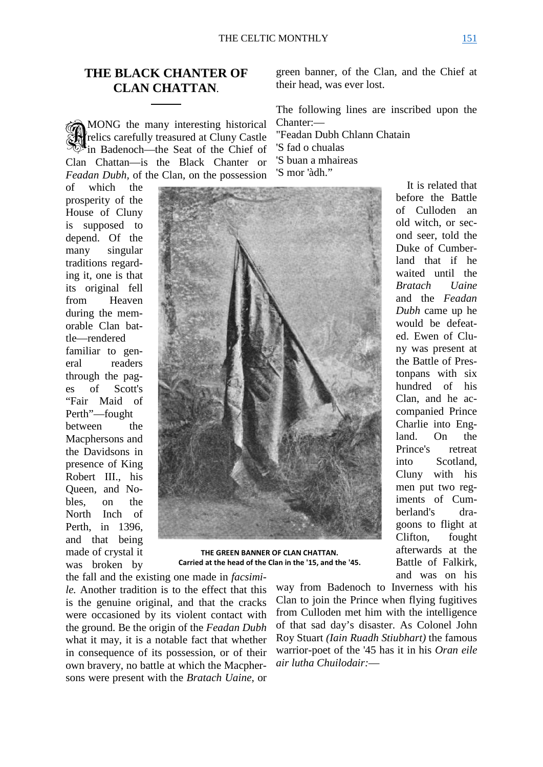## **THE BLACK CHANTER OF CLAN CHATTAN**.

MONG the many interesting historical relics carefully treasured at Cluny Castle in Badenoch—the Seat of the Chief of Clan Chattan—is the Black Chanter or *Feadan Dubh,* of the Clan, on the possession SH

of which the prosperity of the House of Cluny is supposed to depend. Of the many singular traditions regarding it, one is that its original fell from Heaven during the memorable Clan battle—rendered familiar to general readers through the pages of Scott's "Fair Maid of Perth"—fought between the Macphersons and the Davidsons in presence of King Robert III., his Queen, and Nobles, on the North Inch of Perth, in 1396, and that being made of crystal it was broken by



**THE GREEN BANNER OF CLAN CHATTAN. Carried at the head of the Clan in the '15, and the '45.**

the fall and the existing one made in *facsimile.* Another tradition is to the effect that this is the genuine original, and that the cracks were occasioned by its violent contact with the ground. Be the origin of the *Feadan Dubh*  what it may, it is a notable fact that whether in consequence of its possession, or of their own bravery, no battle at which the Macphersons were present with the *Bratach Uaine,* or

way from Badenoch to Inverness with his Clan to join the Prince when flying fugitives from Culloden met him with the intelligence of that sad day's disaster. As Colonel John Roy Stuart *(Iain Ruadh Stiubhart)* the famous warrior-poet of the '45 has it in his *Oran eile air lutha Chuilodair:*—

green banner, of the Clan, and the Chief at their head, was ever lost.

The following lines are inscribed upon the Chanter:—

"Feadan Dubh Chlann Chatain 'S fad o chualas 'S buan a mhaireas 'S mor 'àdh."

> before the Battle of Culloden an old witch, or second seer, told the Duke of Cumberland that if he waited until the *Bratach Uaine*  and the *Feadan Dubh* came up he would be defeated. Ewen of Cluny was present at the Battle of Prestonpans with six hundred of his Clan, and he accompanied Prince Charlie into England. On the Prince's retreat into Scotland, Cluny with his men put two regiments of Cumberland's dragoons to flight at Clifton, fought afterwards at the Battle of Falkirk, and was on his

It is related that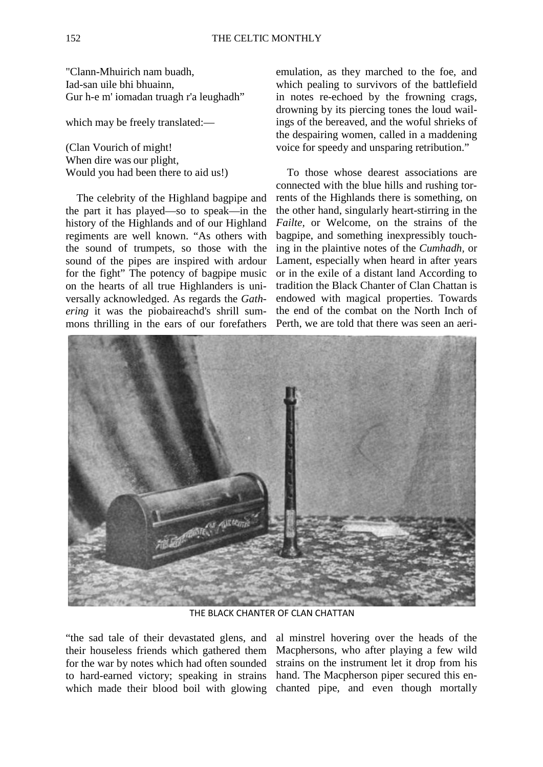"Clann-Mhuirich nam buadh, Iad-san uile bhi bhuainn, Gur h-e m' iomadan truagh r'a leughadh"

which may be freely translated:—

(Clan Vourich of might! When dire was our plight, Would you had been there to aid us!)

The celebrity of the Highland bagpipe and the part it has played—so to speak—in the history of the Highlands and of our Highland regiments are well known. "As others with the sound of trumpets, so those with the sound of the pipes are inspired with ardour for the fight" The potency of bagpipe music on the hearts of all true Highlanders is universally acknowledged. As regards the *Gathering* it was the piobaireachd's shrill summons thrilling in the ears of our forefathers emulation, as they marched to the foe, and which pealing to survivors of the battlefield in notes re-echoed by the frowning crags, drowning by its piercing tones the loud wailings of the bereaved, and the woful shrieks of the despairing women, called in a maddening voice for speedy and unsparing retribution."

To those whose dearest associations are connected with the blue hills and rushing torrents of the Highlands there is something, on the other hand, singularly heart-stirring in the *Failte,* or Welcome, on the strains of the bagpipe, and something inexpressibly touching in the plaintive notes of the *Cumhadh,* or Lament, especially when heard in after years or in the exile of a distant land According to tradition the Black Chanter of Clan Chattan is endowed with magical properties. Towards the end of the combat on the North Inch of Perth, we are told that there was seen an aeri-



THE BLACK CHANTER OF CLAN CHATTAN

"the sad tale of their devastated glens, and their houseless friends which gathered them for the war by notes which had often sounded to hard-earned victory; speaking in strains which made their blood boil with glowing

al minstrel hovering over the heads of the Macphersons, who after playing a few wild strains on the instrument let it drop from his hand. The Macpherson piper secured this enchanted pipe, and even though mortally